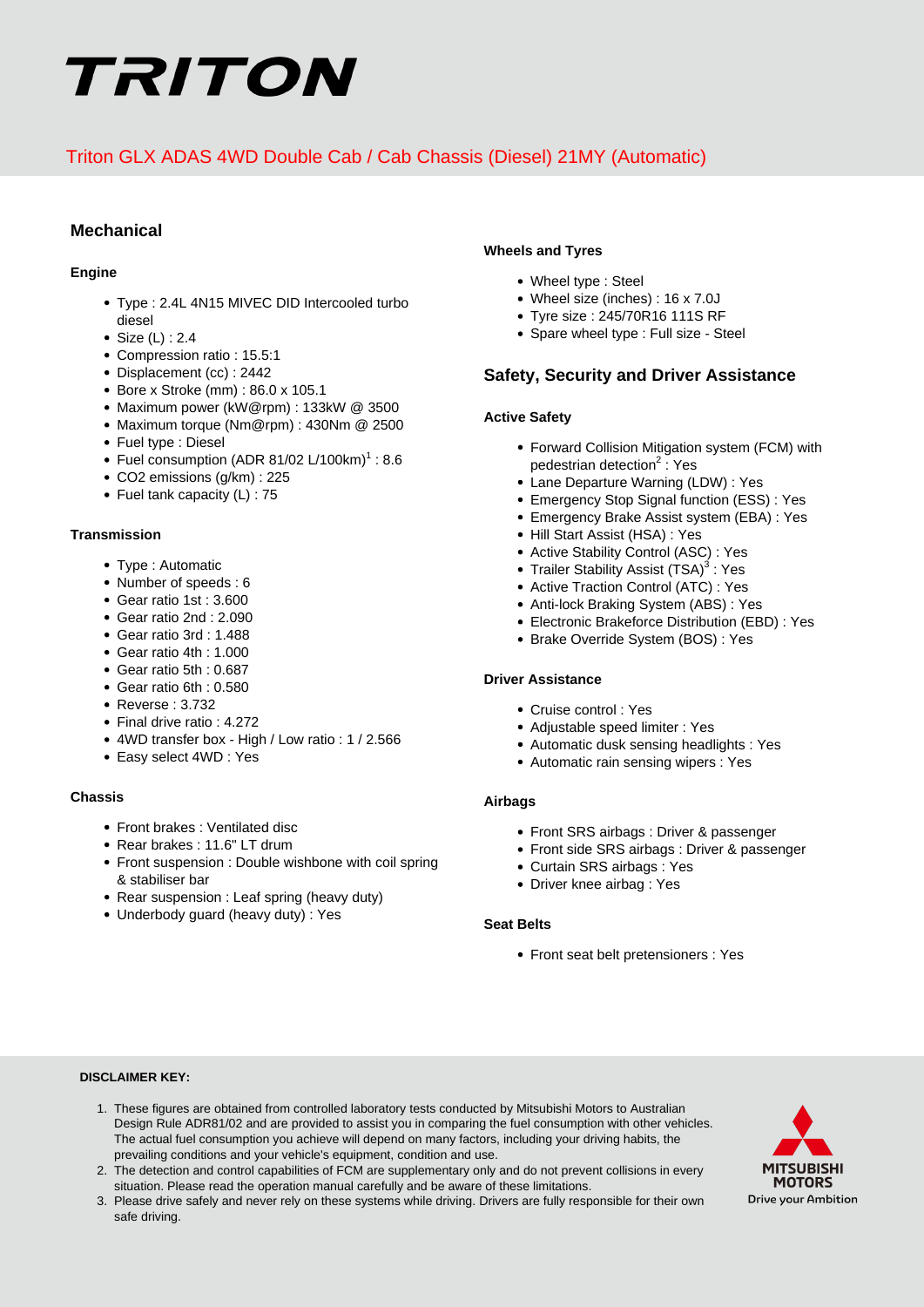# **TRITON**

# Triton GLX ADAS 4WD Double Cab / Cab Chassis (Diesel) 21MY (Automatic)

# **Mechanical**

# **Engine**

- Type : 2.4L 4N15 MIVEC DID Intercooled turbo diesel
- Size (L) : 2.4
- Compression ratio : 15.5:1
- Displacement (cc) : 2442
- Bore x Stroke (mm) : 86.0 x 105.1
- Maximum power (kW@rpm) : 133kW @ 3500
- Maximum torque (Nm@rpm) : 430Nm @ 2500
- Fuel type : Diesel
- Fuel consumption (ADR 81/02 L/100km) $1:8.6$
- CO2 emissions (g/km) : 225
- Fuel tank capacity (L) : 75

#### **Transmission**

- Type : Automatic
- Number of speeds : 6
- Gear ratio 1st : 3.600
- Gear ratio 2nd : 2.090
- Gear ratio 3rd : 1.488
- Gear ratio 4th : 1.000
- Gear ratio 5th : 0.687
- Gear ratio 6th : 0.580
- Reverse : 3.732
- Final drive ratio : 4.272
- 4WD transfer box High / Low ratio : 1 / 2.566
- Easy select 4WD : Yes

#### **Chassis**

- Front brakes : Ventilated disc
- Rear brakes : 11.6" LT drum
- Front suspension : Double wishbone with coil spring & stabiliser bar
- Rear suspension : Leaf spring (heavy duty)
- Underbody guard (heavy duty) : Yes

# **Wheels and Tyres**

- Wheel type : Steel
- Wheel size (inches) : 16 x 7.0J
- Tyre size : 245/70R16 111S RF
- Spare wheel type : Full size Steel

# **Safety, Security and Driver Assistance**

# **Active Safety**

- Forward Collision Mitigation system (FCM) with pedestrian detection<sup>2</sup> : Yes
- Lane Departure Warning (LDW) : Yes
- Emergency Stop Signal function (ESS) : Yes
- Emergency Brake Assist system (EBA) : Yes
- Hill Start Assist (HSA) : Yes
- Active Stability Control (ASC) : Yes
- Trailer Stability Assist (TSA)<sup>3</sup> : Yes
- Active Traction Control (ATC) : Yes
- Anti-lock Braking System (ABS) : Yes
- Electronic Brakeforce Distribution (EBD) : Yes
- Brake Override System (BOS) : Yes

#### **Driver Assistance**

- Cruise control : Yes
- Adjustable speed limiter : Yes
- Automatic dusk sensing headlights : Yes
- Automatic rain sensing wipers : Yes

#### **Airbags**

- Front SRS airbags : Driver & passenger
- Front side SRS airbags : Driver & passenger
- Curtain SRS airbags : Yes
- Driver knee airbag : Yes

#### **Seat Belts**

• Front seat belt pretensioners : Yes

## **DISCLAIMER KEY:**

- 1. These figures are obtained from controlled laboratory tests conducted by Mitsubishi Motors to Australian Design Rule ADR81/02 and are provided to assist you in comparing the fuel consumption with other vehicles. The actual fuel consumption you achieve will depend on many factors, including your driving habits, the prevailing conditions and your vehicle's equipment, condition and use.
- 2. The detection and control capabilities of FCM are supplementary only and do not prevent collisions in every situation. Please read the operation manual carefully and be aware of these limitations.
- 3. Please drive safely and never rely on these systems while driving. Drivers are fully responsible for their own safe driving.

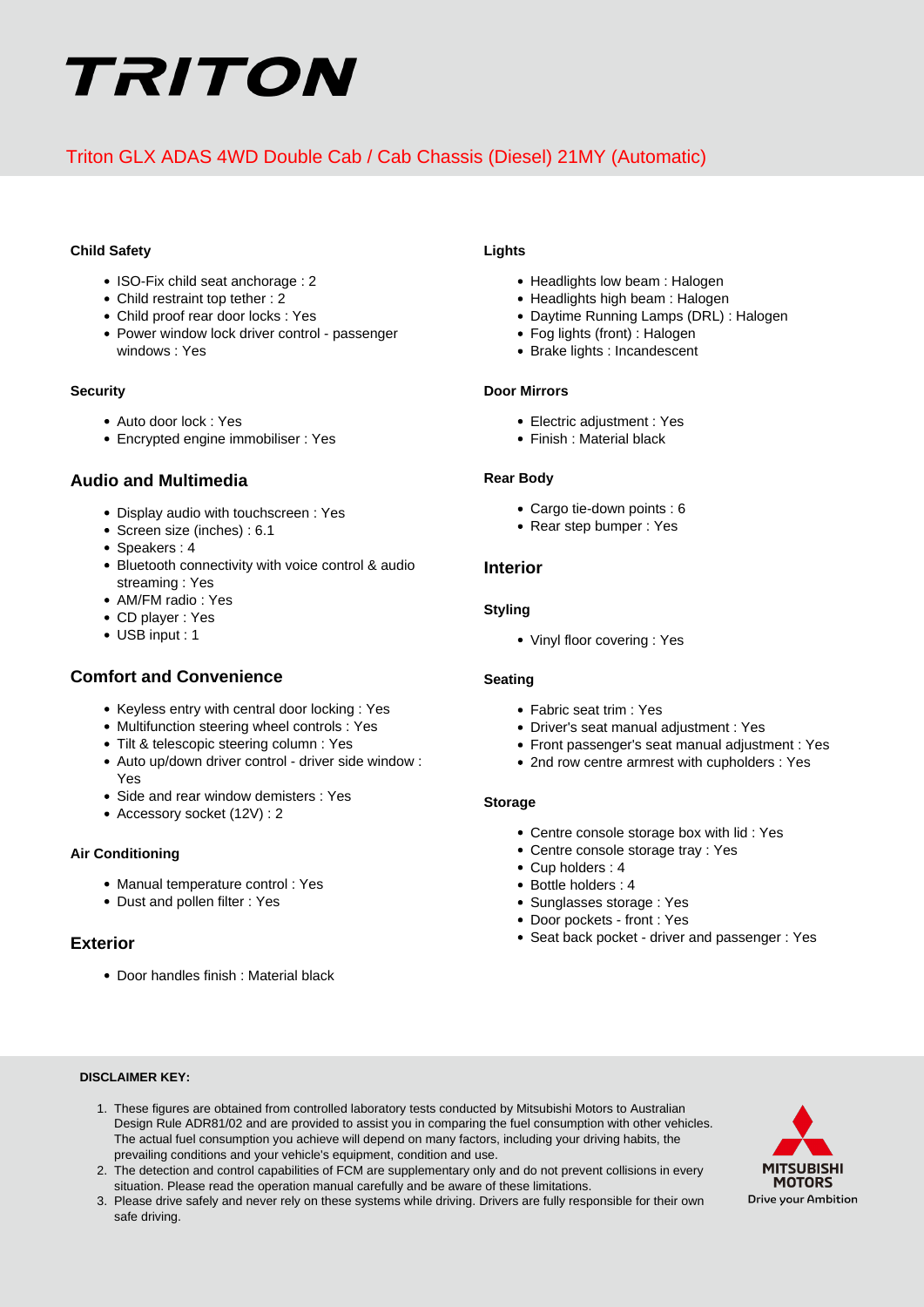# **TRITON**

# Triton GLX ADAS 4WD Double Cab / Cab Chassis (Diesel) 21MY (Automatic)

# **Child Safety**

- ISO-Fix child seat anchorage : 2
- Child restraint top tether : 2
- Child proof rear door locks : Yes
- Power window lock driver control passenger windows : Yes

# **Security**

- Auto door lock : Yes
- Encrypted engine immobiliser : Yes

# **Audio and Multimedia**

- Display audio with touchscreen : Yes
- Screen size (inches) : 6.1
- Speakers : 4
- Bluetooth connectivity with voice control & audio streaming : Yes
- AM/FM radio : Yes
- CD player : Yes
- USB input : 1

# **Comfort and Convenience**

- Keyless entry with central door locking : Yes
- Multifunction steering wheel controls : Yes
- Tilt & telescopic steering column : Yes
- Auto up/down driver control driver side window : Yes
- Side and rear window demisters : Yes
- Accessory socket (12V) : 2

#### **Air Conditioning**

- Manual temperature control : Yes
- Dust and pollen filter : Yes

# **Exterior**

Door handles finish : Material black

# **Lights**

- Headlights low beam : Halogen
- Headlights high beam : Halogen
- Daytime Running Lamps (DRL) : Halogen
- Fog lights (front) : Halogen
- Brake lights : Incandescent

# **Door Mirrors**

- Electric adjustment : Yes
- Finish : Material black

# **Rear Body**

- Cargo tie-down points : 6
- Rear step bumper : Yes

# **Interior**

# **Styling**

• Vinyl floor covering : Yes

#### **Seating**

- Fabric seat trim : Yes
- Driver's seat manual adiustment : Yes
- Front passenger's seat manual adjustment : Yes
- 2nd row centre armrest with cupholders : Yes

#### **Storage**

- Centre console storage box with lid : Yes
- Centre console storage tray : Yes
- Cup holders : 4
- Bottle holders : 4
- Sunglasses storage : Yes
- Door pockets front : Yes
- Seat back pocket driver and passenger : Yes

## **DISCLAIMER KEY:**

- 1. These figures are obtained from controlled laboratory tests conducted by Mitsubishi Motors to Australian Design Rule ADR81/02 and are provided to assist you in comparing the fuel consumption with other vehicles. The actual fuel consumption you achieve will depend on many factors, including your driving habits, the prevailing conditions and your vehicle's equipment, condition and use.
- 2. The detection and control capabilities of FCM are supplementary only and do not prevent collisions in every situation. Please read the operation manual carefully and be aware of these limitations.
- 3. Please drive safely and never rely on these systems while driving. Drivers are fully responsible for their own safe driving.